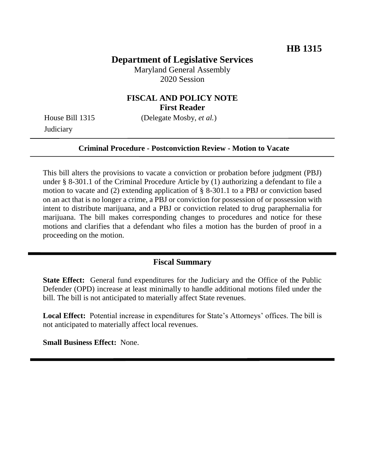## **Department of Legislative Services**

Maryland General Assembly 2020 Session

### **FISCAL AND POLICY NOTE First Reader**

**Judiciary** 

House Bill 1315 (Delegate Mosby, *et al.*)

#### **Criminal Procedure - Postconviction Review - Motion to Vacate**

This bill alters the provisions to vacate a conviction or probation before judgment (PBJ) under § 8-301.1 of the Criminal Procedure Article by (1) authorizing a defendant to file a motion to vacate and (2) extending application of § 8-301.1 to a PBJ or conviction based on an act that is no longer a crime, a PBJ or conviction for possession of or possession with intent to distribute marijuana, and a PBJ or conviction related to drug paraphernalia for marijuana. The bill makes corresponding changes to procedures and notice for these motions and clarifies that a defendant who files a motion has the burden of proof in a proceeding on the motion.

### **Fiscal Summary**

**State Effect:** General fund expenditures for the Judiciary and the Office of the Public Defender (OPD) increase at least minimally to handle additional motions filed under the bill. The bill is not anticipated to materially affect State revenues.

**Local Effect:** Potential increase in expenditures for State's Attorneys' offices. The bill is not anticipated to materially affect local revenues.

**Small Business Effect:** None.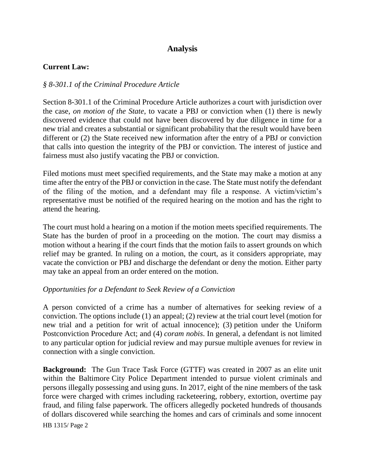# **Analysis**

### **Current Law:**

### *§ 8-301.1 of the Criminal Procedure Article*

Section 8-301.1 of the Criminal Procedure Article authorizes a court with jurisdiction over the case, *on motion of the State*, to vacate a PBJ or conviction when (1) there is newly discovered evidence that could not have been discovered by due diligence in time for a new trial and creates a substantial or significant probability that the result would have been different or (2) the State received new information after the entry of a PBJ or conviction that calls into question the integrity of the PBJ or conviction. The interest of justice and fairness must also justify vacating the PBJ or conviction.

Filed motions must meet specified requirements, and the State may make a motion at any time after the entry of the PBJ or conviction in the case. The State must notify the defendant of the filing of the motion, and a defendant may file a response. A victim/victim's representative must be notified of the required hearing on the motion and has the right to attend the hearing.

The court must hold a hearing on a motion if the motion meets specified requirements. The State has the burden of proof in a proceeding on the motion. The court may dismiss a motion without a hearing if the court finds that the motion fails to assert grounds on which relief may be granted. In ruling on a motion, the court, as it considers appropriate, may vacate the conviction or PBJ and discharge the defendant or deny the motion. Either party may take an appeal from an order entered on the motion.

### *Opportunities for a Defendant to Seek Review of a Conviction*

A person convicted of a crime has a number of alternatives for seeking review of a conviction. The options include (1) an appeal; (2) review at the trial court level (motion for new trial and a petition for writ of actual innocence); (3) petition under the Uniform Postconviction Procedure Act; and (4) *coram nobis*. In general, a defendant is not limited to any particular option for judicial review and may pursue multiple avenues for review in connection with a single conviction.

**Background:** The Gun Trace Task Force (GTTF) was created in 2007 as an elite unit within the Baltimore City Police Department intended to pursue violent criminals and persons illegally possessing and using guns. In 2017, eight of the nine members of the task force were charged with crimes including racketeering, robbery, extortion, overtime pay fraud, and filing false paperwork. The officers allegedly pocketed hundreds of thousands of dollars discovered while searching the homes and cars of criminals and some innocent

HB 1315/ Page 2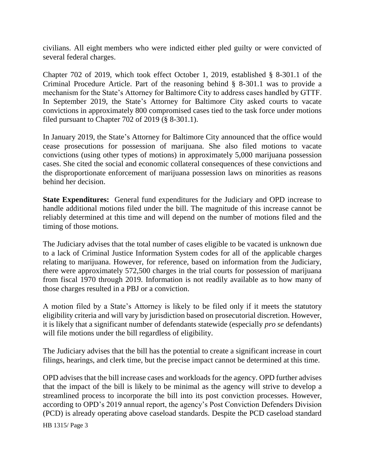civilians. All eight members who were indicted either pled guilty or were convicted of several federal charges.

Chapter 702 of 2019, which took effect October 1, 2019, established § 8-301.1 of the Criminal Procedure Article. Part of the reasoning behind § 8-301.1 was to provide a mechanism for the State's Attorney for Baltimore City to address cases handled by GTTF. In September 2019, the State's Attorney for Baltimore City asked courts to vacate convictions in approximately 800 compromised cases tied to the task force under motions filed pursuant to Chapter 702 of 2019 (§ 8-301.1).

In January 2019, the State's Attorney for Baltimore City announced that the office would cease prosecutions for possession of marijuana. She also filed motions to vacate convictions (using other types of motions) in approximately 5,000 marijuana possession cases. She cited the social and economic collateral consequences of these convictions and the disproportionate enforcement of marijuana possession laws on minorities as reasons behind her decision.

**State Expenditures:** General fund expenditures for the Judiciary and OPD increase to handle additional motions filed under the bill. The magnitude of this increase cannot be reliably determined at this time and will depend on the number of motions filed and the timing of those motions.

The Judiciary advises that the total number of cases eligible to be vacated is unknown due to a lack of Criminal Justice Information System codes for all of the applicable charges relating to marijuana. However, for reference, based on information from the Judiciary, there were approximately 572,500 charges in the trial courts for possession of marijuana from fiscal 1970 through 2019. Information is not readily available as to how many of those charges resulted in a PBJ or a conviction.

A motion filed by a State's Attorney is likely to be filed only if it meets the statutory eligibility criteria and will vary by jurisdiction based on prosecutorial discretion. However, it is likely that a significant number of defendants statewide (especially *pro se* defendants) will file motions under the bill regardless of eligibility.

The Judiciary advises that the bill has the potential to create a significant increase in court filings, hearings, and clerk time, but the precise impact cannot be determined at this time.

OPD advises that the bill increase cases and workloads for the agency. OPD further advises that the impact of the bill is likely to be minimal as the agency will strive to develop a streamlined process to incorporate the bill into its post conviction processes. However, according to OPD's 2019 annual report, the agency's Post Conviction Defenders Division (PCD) is already operating above caseload standards. Despite the PCD caseload standard

HB 1315/ Page 3